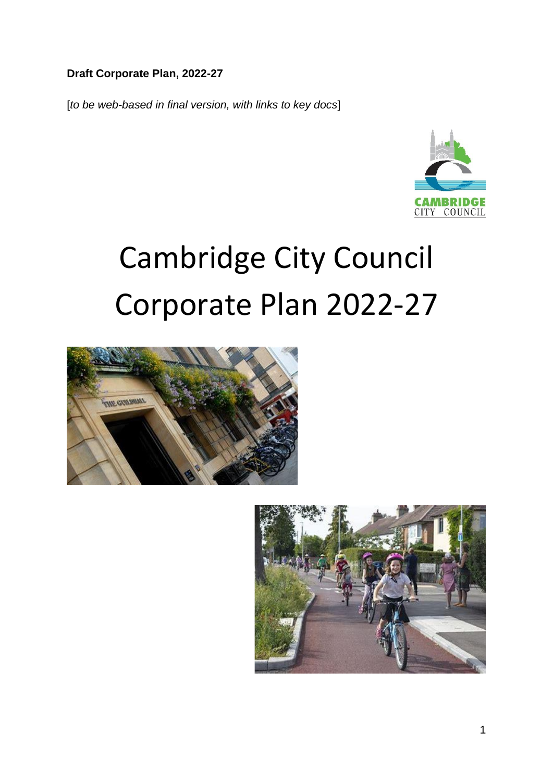#### **Draft Corporate Plan, 2022-27**

[*to be web-based in final version, with links to key docs*]



# Cambridge City Council Corporate Plan 2022-27



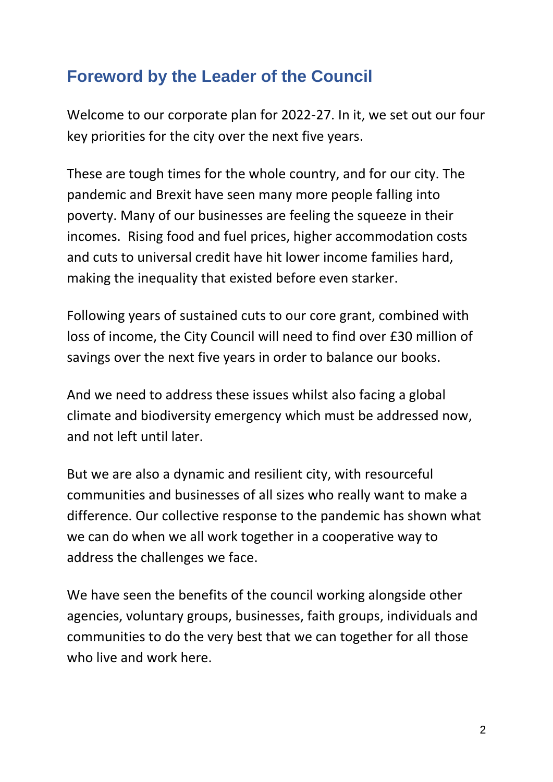## **Foreword by the Leader of the Council**

Welcome to our corporate plan for 2022-27. In it, we set out our four key priorities for the city over the next five years.

These are tough times for the whole country, and for our city. The pandemic and Brexit have seen many more people falling into poverty. Many of our businesses are feeling the squeeze in their incomes. Rising food and fuel prices, higher accommodation costs and cuts to universal credit have hit lower income families hard, making the inequality that existed before even starker.

Following years of sustained cuts to our core grant, combined with loss of income, the City Council will need to find over £30 million of savings over the next five years in order to balance our books.

And we need to address these issues whilst also facing a global climate and biodiversity emergency which must be addressed now, and not left until later.

But we are also a dynamic and resilient city, with resourceful communities and businesses of all sizes who really want to make a difference. Our collective response to the pandemic has shown what we can do when we all work together in a cooperative way to address the challenges we face.

We have seen the benefits of the council working alongside other agencies, voluntary groups, businesses, faith groups, individuals and communities to do the very best that we can together for all those who live and work here.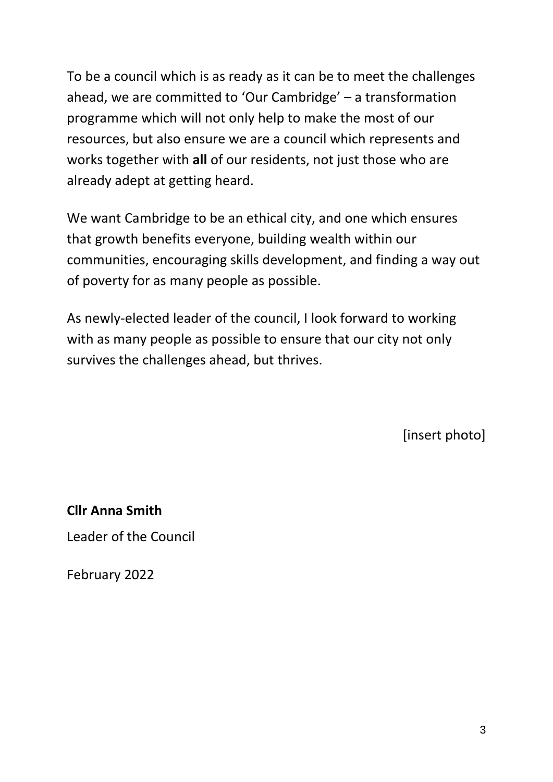To be a council which is as ready as it can be to meet the challenges ahead, we are committed to 'Our Cambridge' – a transformation programme which will not only help to make the most of our resources, but also ensure we are a council which represents and works together with **all** of our residents, not just those who are already adept at getting heard.

We want Cambridge to be an ethical city, and one which ensures that growth benefits everyone, building wealth within our communities, encouraging skills development, and finding a way out of poverty for as many people as possible.

As newly-elected leader of the council, I look forward to working with as many people as possible to ensure that our city not only survives the challenges ahead, but thrives.

[insert photo]

**Cllr Anna Smith** Leader of the Council

February 2022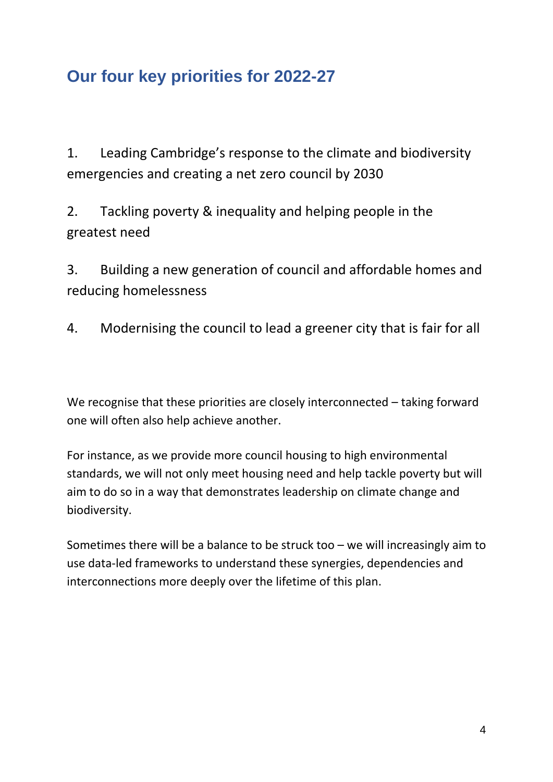# **Our four key priorities for 2022-27**

1. Leading Cambridge's response to the climate and biodiversity emergencies and creating a net zero council by 2030

2. Tackling poverty & inequality and helping people in the greatest need

3. Building a new generation of council and affordable homes and reducing homelessness

4. Modernising the council to lead a greener city that is fair for all

We recognise that these priorities are closely interconnected – taking forward one will often also help achieve another.

For instance, as we provide more council housing to high environmental standards, we will not only meet housing need and help tackle poverty but will aim to do so in a way that demonstrates leadership on climate change and biodiversity.

Sometimes there will be a balance to be struck too – we will increasingly aim to use data-led frameworks to understand these synergies, dependencies and interconnections more deeply over the lifetime of this plan.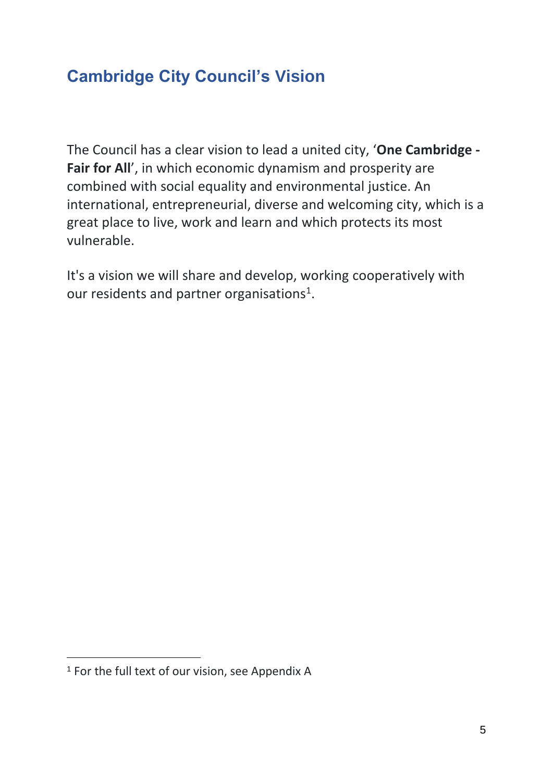## **Cambridge City Council's Vision**

The Council has a clear vision to lead a united city, '**One Cambridge - Fair for All**', in which economic dynamism and prosperity are combined with social equality and environmental justice. An international, entrepreneurial, diverse and welcoming city, which is a great place to live, work and learn and which protects its most vulnerable.

It's a vision we will share and develop, working cooperatively with our residents and partner organisations<sup>1</sup>.

1

<sup>1</sup> For the full text of our vision, see Appendix A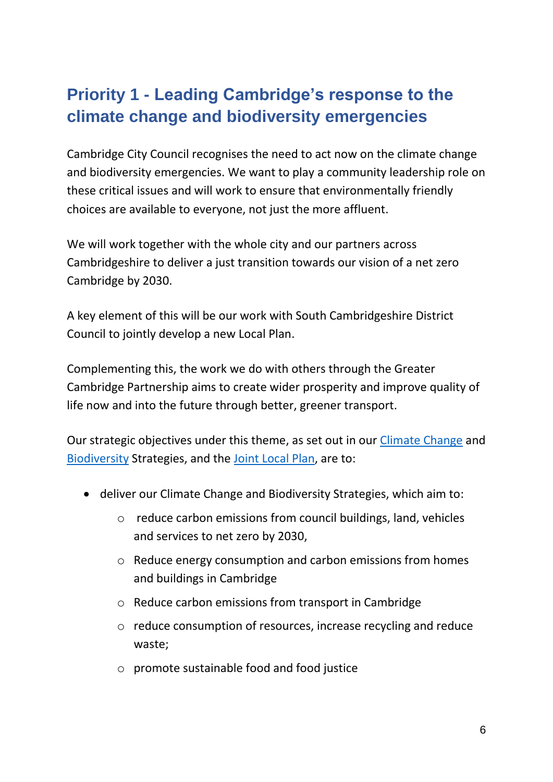# **Priority 1 - Leading Cambridge's response to the climate change and biodiversity emergencies**

Cambridge City Council recognises the need to act now on the climate change and biodiversity emergencies. We want to play a community leadership role on these critical issues and will work to ensure that environmentally friendly choices are available to everyone, not just the more affluent.

We will work together with the whole city and our partners across Cambridgeshire to deliver a just transition towards our vision of a net zero Cambridge by 2030.

A key element of this will be our work with South Cambridgeshire District Council to jointly develop a new Local Plan.

Complementing this, the work we do with others through the Greater Cambridge Partnership aims to create wider prosperity and improve quality of life now and into the future through better, greener transport.

Our strategic objectives under this theme, as set out in our [Climate Change](https://www.cambridge.gov.uk/climate-change-strategy) and [Biodiversity](https://www.cambridge.gov.uk/media/9762/draft-biodiversity-strategy-2021.pdf) Strategies, and the [Joint Local Plan,](https://www.greatercambridgeplanning.org/emerging-plans-and-guidance/greater-cambridge-local-plan/) are to:

- deliver our Climate Change and Biodiversity Strategies, which aim to:
	- o reduce carbon emissions from council buildings, land, vehicles and services to net zero by 2030,
	- o Reduce energy consumption and carbon emissions from homes and buildings in Cambridge
	- o Reduce carbon emissions from transport in Cambridge
	- o reduce consumption of resources, increase recycling and reduce waste;
	- o promote sustainable food and food justice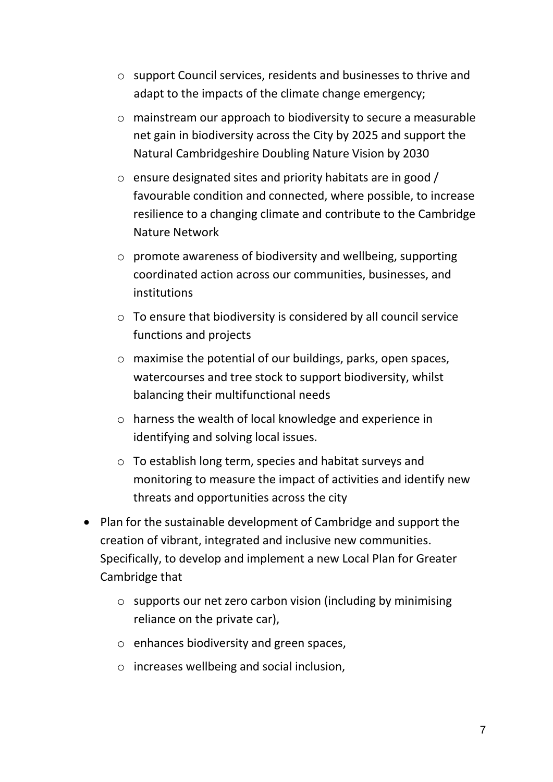- o support Council services, residents and businesses to thrive and adapt to the impacts of the climate change emergency;
- o mainstream our approach to biodiversity to secure a measurable net gain in biodiversity across the City by 2025 and support the Natural Cambridgeshire Doubling Nature Vision by 2030
- o ensure designated sites and priority habitats are in good / favourable condition and connected, where possible, to increase resilience to a changing climate and contribute to the Cambridge Nature Network
- o promote awareness of biodiversity and wellbeing, supporting coordinated action across our communities, businesses, and institutions
- o To ensure that biodiversity is considered by all council service functions and projects
- o maximise the potential of our buildings, parks, open spaces, watercourses and tree stock to support biodiversity, whilst balancing their multifunctional needs
- o harness the wealth of local knowledge and experience in identifying and solving local issues.
- o To establish long term, species and habitat surveys and monitoring to measure the impact of activities and identify new threats and opportunities across the city
- Plan for the sustainable development of Cambridge and support the creation of vibrant, integrated and inclusive new communities. Specifically, to develop and implement a new Local Plan for Greater Cambridge that
	- o supports our net zero carbon vision (including by minimising reliance on the private car),
	- o enhances biodiversity and green spaces,
	- o increases wellbeing and social inclusion,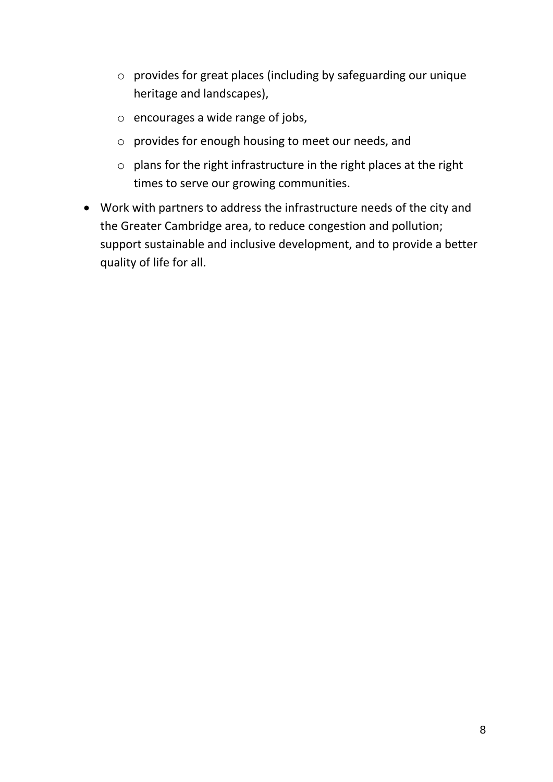- o provides for great places (including by safeguarding our unique heritage and landscapes),
- o encourages a wide range of jobs,
- o provides for enough housing to meet our needs, and
- o plans for the right infrastructure in the right places at the right times to serve our growing communities.
- Work with partners to address the infrastructure needs of the city and the Greater Cambridge area, to reduce congestion and pollution; support sustainable and inclusive development, and to provide a better quality of life for all.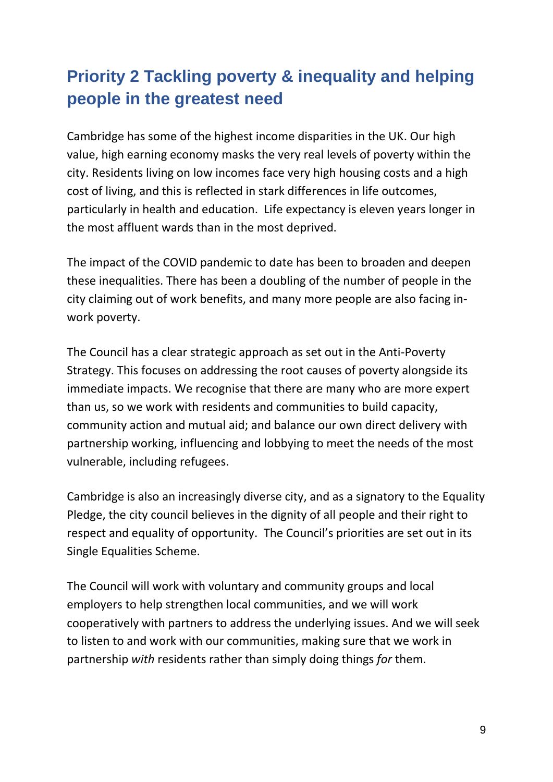# **Priority 2 Tackling poverty & inequality and helping people in the greatest need**

Cambridge has some of the highest income disparities in the UK. Our high value, high earning economy masks the very real levels of poverty within the city. Residents living on low incomes face very high housing costs and a high cost of living, and this is reflected in stark differences in life outcomes, particularly in health and education. Life expectancy is eleven years longer in the most affluent wards than in the most deprived.

The impact of the COVID pandemic to date has been to broaden and deepen these inequalities. There has been a doubling of the number of people in the city claiming out of work benefits, and many more people are also facing inwork poverty.

The Council has a clear strategic approach as set out in the Anti-Poverty Strategy. This focuses on addressing the root causes of poverty alongside its immediate impacts. We recognise that there are many who are more expert than us, so we work with residents and communities to build capacity, community action and mutual aid; and balance our own direct delivery with partnership working, influencing and lobbying to meet the needs of the most vulnerable, including refugees.

Cambridge is also an increasingly diverse city, and as a signatory to the Equality Pledge, the city council believes in the dignity of all people and their right to respect and equality of opportunity. The Council's priorities are set out in its Single Equalities Scheme.

The Council will work with voluntary and community groups and local employers to help strengthen local communities, and we will work cooperatively with partners to address the underlying issues. And we will seek to listen to and work with our communities, making sure that we work in partnership *with* residents rather than simply doing things *for* them.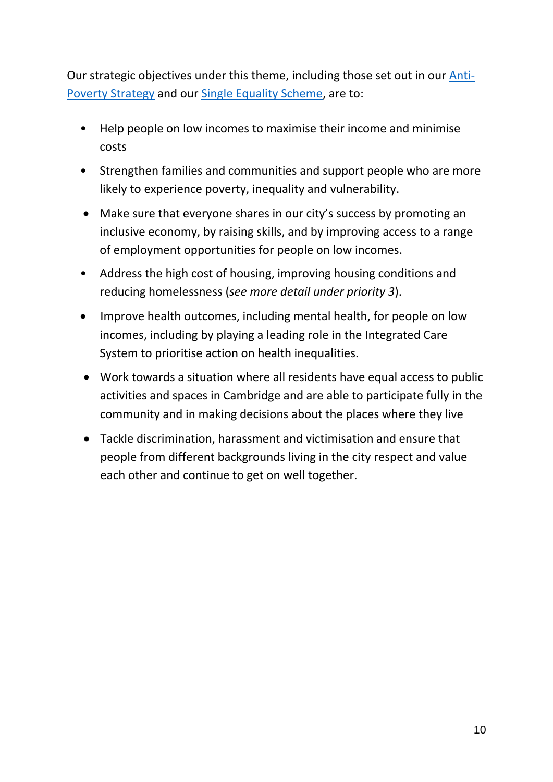Our strategic objectives under this theme, including those set out in our [Anti-](https://www.cambridge.gov.uk/anti-poverty-strategy)[Poverty Strategy](https://www.cambridge.gov.uk/anti-poverty-strategy) and our [Single Equality Scheme,](https://www.cambridge.gov.uk/media/10044/single-equality-scheme.pdf) are to:

- Help people on low incomes to maximise their income and minimise costs
- Strengthen families and communities and support people who are more likely to experience poverty, inequality and vulnerability.
- Make sure that everyone shares in our city's success by promoting an inclusive economy, by raising skills, and by improving access to a range of employment opportunities for people on low incomes.
- Address the high cost of housing, improving housing conditions and reducing homelessness (*see more detail under priority 3*).
- Improve health outcomes, including mental health, for people on low incomes, including by playing a leading role in the Integrated Care System to prioritise action on health inequalities.
- Work towards a situation where all residents have equal access to public activities and spaces in Cambridge and are able to participate fully in the community and in making decisions about the places where they live
- Tackle discrimination, harassment and victimisation and ensure that people from different backgrounds living in the city respect and value each other and continue to get on well together.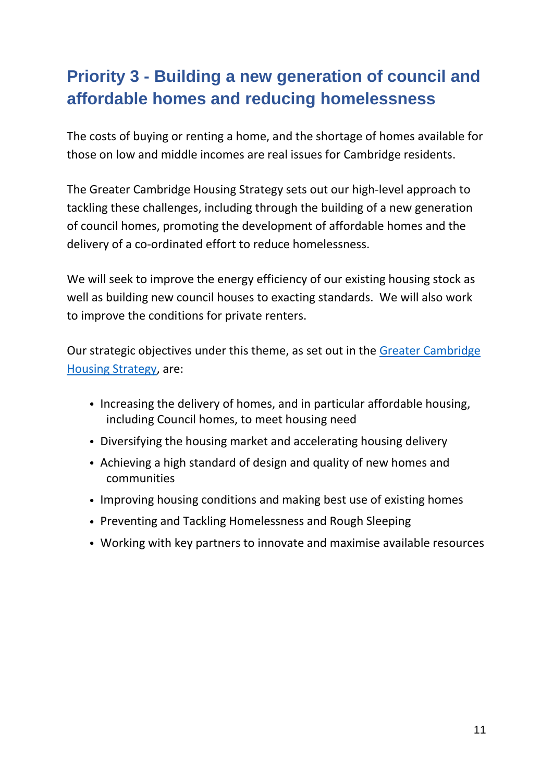# **Priority 3 - Building a new generation of council and affordable homes and reducing homelessness**

The costs of buying or renting a home, and the shortage of homes available for those on low and middle incomes are real issues for Cambridge residents.

The Greater Cambridge Housing Strategy sets out our high-level approach to tackling these challenges, including through the building of a new generation of council homes, promoting the development of affordable homes and the delivery of a co-ordinated effort to reduce homelessness.

We will seek to improve the energy efficiency of our existing housing stock as well as building new council houses to exacting standards. We will also work to improve the conditions for private renters.

Our strategic objectives under this theme, as set out in the [Greater Cambridge](https://www.cambridge.gov.uk/media/7296/greater-cambridge-housing-strategy-2019.pdf)  [Housing Strategy,](https://www.cambridge.gov.uk/media/7296/greater-cambridge-housing-strategy-2019.pdf) are:

- Increasing the delivery of homes, and in particular affordable housing, including Council homes, to meet housing need
- Diversifying the housing market and accelerating housing delivery
- Achieving a high standard of design and quality of new homes and communities
- Improving housing conditions and making best use of existing homes
- Preventing and Tackling Homelessness and Rough Sleeping
- Working with key partners to innovate and maximise available resources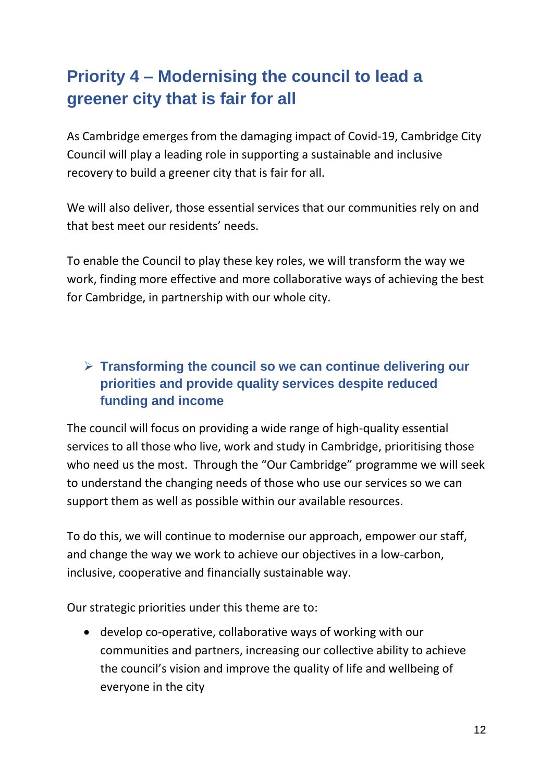# **Priority 4 – Modernising the council to lead a greener city that is fair for all**

As Cambridge emerges from the damaging impact of Covid-19, Cambridge City Council will play a leading role in supporting a sustainable and inclusive recovery to build a greener city that is fair for all.

We will also deliver, those essential services that our communities rely on and that best meet our residents' needs.

To enable the Council to play these key roles, we will transform the way we work, finding more effective and more collaborative ways of achieving the best for Cambridge, in partnership with our whole city.

## **Transforming the council so we can continue delivering our priorities and provide quality services despite reduced funding and income**

The council will focus on providing a wide range of high-quality essential services to all those who live, work and study in Cambridge, prioritising those who need us the most. Through the "Our Cambridge" programme we will seek to understand the changing needs of those who use our services so we can support them as well as possible within our available resources.

To do this, we will continue to modernise our approach, empower our staff, and change the way we work to achieve our objectives in a low-carbon, inclusive, cooperative and financially sustainable way.

Our strategic priorities under this theme are to:

 develop co-operative, collaborative ways of working with our communities and partners, increasing our collective ability to achieve the council's vision and improve the quality of life and wellbeing of everyone in the city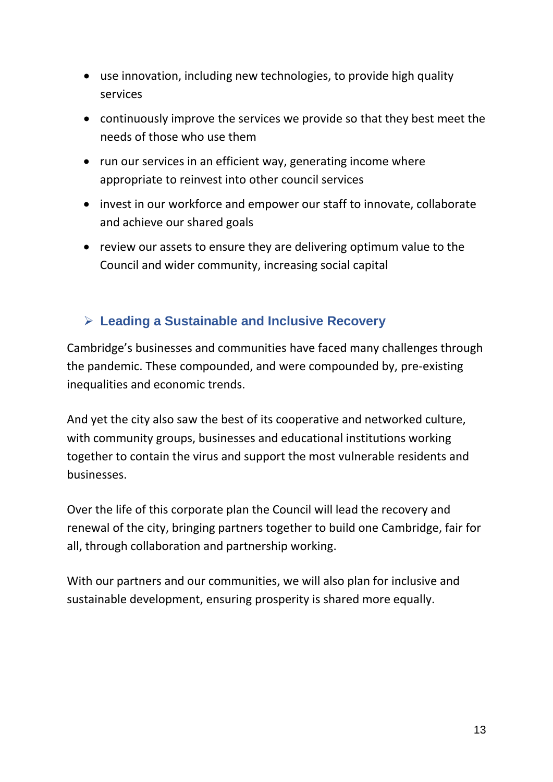- use innovation, including new technologies, to provide high quality services
- continuously improve the services we provide so that they best meet the needs of those who use them
- run our services in an efficient way, generating income where appropriate to reinvest into other council services
- invest in our workforce and empower our staff to innovate, collaborate and achieve our shared goals
- review our assets to ensure they are delivering optimum value to the Council and wider community, increasing social capital

## **Leading a Sustainable and Inclusive Recovery**

Cambridge's businesses and communities have faced many challenges through the pandemic. These compounded, and were compounded by, pre-existing inequalities and economic trends.

And yet the city also saw the best of its cooperative and networked culture, with community groups, businesses and educational institutions working together to contain the virus and support the most vulnerable residents and businesses.

Over the life of this corporate plan the Council will lead the recovery and renewal of the city, bringing partners together to build one Cambridge, fair for all, through collaboration and partnership working.

With our partners and our communities, we will also plan for inclusive and sustainable development, ensuring prosperity is shared more equally.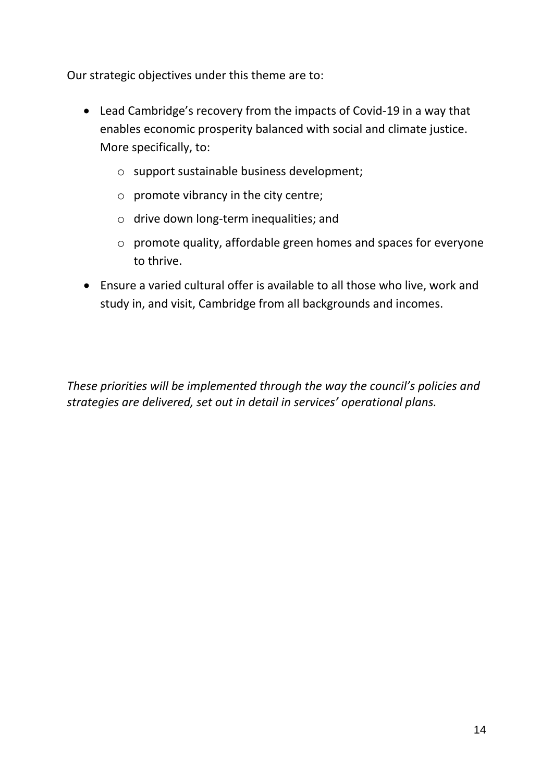Our strategic objectives under this theme are to:

- Lead Cambridge's recovery from the impacts of Covid-19 in a way that enables economic prosperity balanced with social and climate justice. More specifically, to:
	- o support sustainable business development;
	- o promote vibrancy in the city centre;
	- o drive down long-term inequalities; and
	- o promote quality, affordable green homes and spaces for everyone to thrive.
- Ensure a varied cultural offer is available to all those who live, work and study in, and visit, Cambridge from all backgrounds and incomes.

*These priorities will be implemented through the way the council's policies and strategies are delivered, set out in detail in services' operational plans.*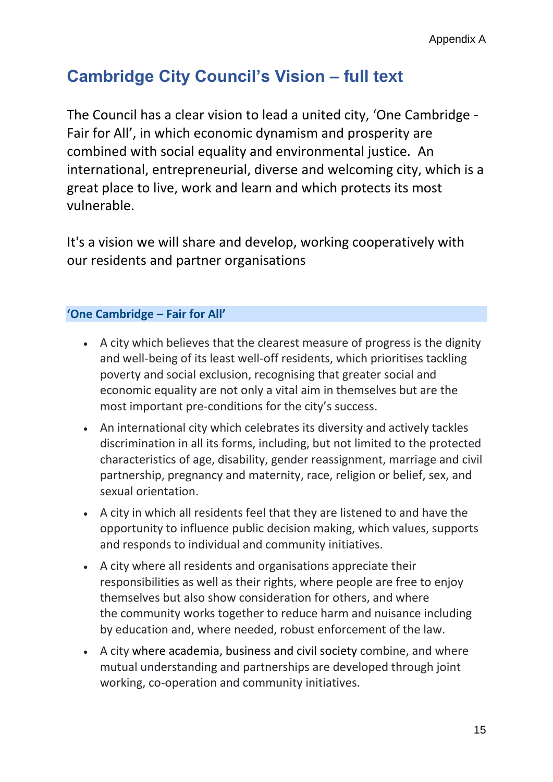## **Cambridge City Council's Vision – full text**

The Council has a clear vision to lead a united city, 'One Cambridge - Fair for All', in which economic dynamism and prosperity are combined with social equality and environmental justice. An international, entrepreneurial, diverse and welcoming city, which is a great place to live, work and learn and which protects its most vulnerable.

It's a vision we will share and develop, working cooperatively with our residents and partner organisations

#### **'One Cambridge – Fair for All'**

- A city which believes that the clearest measure of progress is the dignity and well-being of its least well-off residents, which prioritises tackling poverty and social exclusion, recognising that greater social and economic equality are not only a vital aim in themselves but are the most important pre-conditions for the city's success.
- An international city which celebrates its diversity and actively tackles discrimination in all its forms, including, but not limited to the protected characteristics of age, disability, gender reassignment, marriage and civil partnership, pregnancy and maternity, race, religion or belief, sex, and sexual orientation.
- A city in which all residents feel that they are listened to and have the opportunity to influence public decision making, which values, supports and responds to individual and community initiatives.
- A city where all residents and organisations appreciate their responsibilities as well as their rights, where people are free to enjoy themselves but also show consideration for others, and where the community works together to reduce harm and nuisance including by education and, where needed, robust enforcement of the law.
- A city where academia, business and civil society combine, and where mutual understanding and partnerships are developed through joint working, co-operation and community initiatives.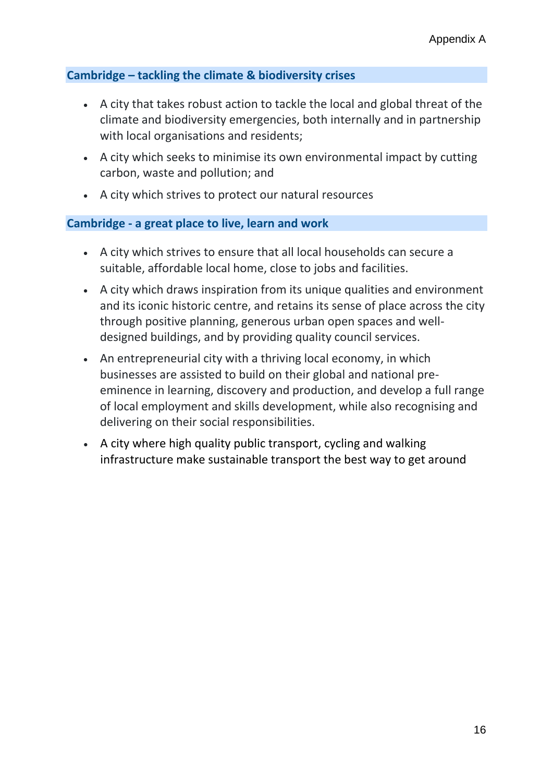#### **Cambridge – tackling the climate & biodiversity crises**

- A city that takes robust action to tackle the local and global threat of the climate and biodiversity emergencies, both internally and in partnership with local organisations and residents;
- A city which seeks to minimise its own environmental impact by cutting carbon, waste and pollution; and
- A city which strives to protect our natural resources

#### **Cambridge - a great place to live, learn and work**

- A city which strives to ensure that all local households can secure a suitable, affordable local home, close to jobs and facilities.
- A city which draws inspiration from its unique qualities and environment and its iconic historic centre, and retains its sense of place across the city through positive planning, generous urban open spaces and welldesigned buildings, and by providing quality council services.
- An entrepreneurial city with a thriving local economy, in which businesses are assisted to build on their global and national preeminence in learning, discovery and production, and develop a full range of local employment and skills development, while also recognising and delivering on their social responsibilities.
- A city where high quality public transport, cycling and walking infrastructure make sustainable transport the best way to get around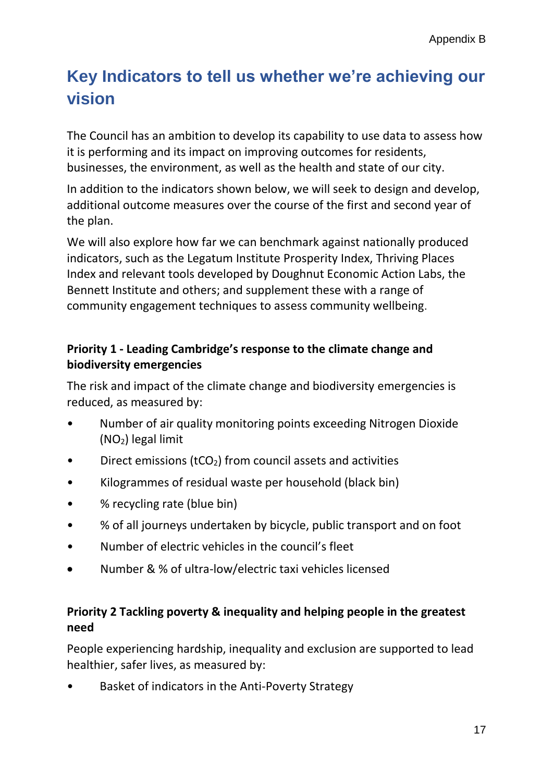## **Key Indicators to tell us whether we're achieving our vision**

The Council has an ambition to develop its capability to use data to assess how it is performing and its impact on improving outcomes for residents, businesses, the environment, as well as the health and state of our city.

In addition to the indicators shown below, we will seek to design and develop, additional outcome measures over the course of the first and second year of the plan.

We will also explore how far we can benchmark against nationally produced indicators, such as the Legatum Institute Prosperity Index, Thriving Places Index and relevant tools developed by Doughnut Economic Action Labs, the Bennett Institute and others; and supplement these with a range of community engagement techniques to assess community wellbeing.

### **Priority 1 - Leading Cambridge's response to the climate change and biodiversity emergencies**

The risk and impact of the climate change and biodiversity emergencies is reduced, as measured by:

- Number of air quality monitoring points exceeding Nitrogen Dioxide (NO2) legal limit
- Direct emissions (tCO<sub>2</sub>) from council assets and activities
- Kilogrammes of residual waste per household (black bin)
- % recycling rate (blue bin)
- % of all journeys undertaken by bicycle, public transport and on foot
- Number of electric vehicles in the council's fleet
- Number & % of ultra-low/electric taxi vehicles licensed

## **Priority 2 Tackling poverty & inequality and helping people in the greatest need**

People experiencing hardship, inequality and exclusion are supported to lead healthier, safer lives, as measured by:

• Basket of indicators in the Anti-Poverty Strategy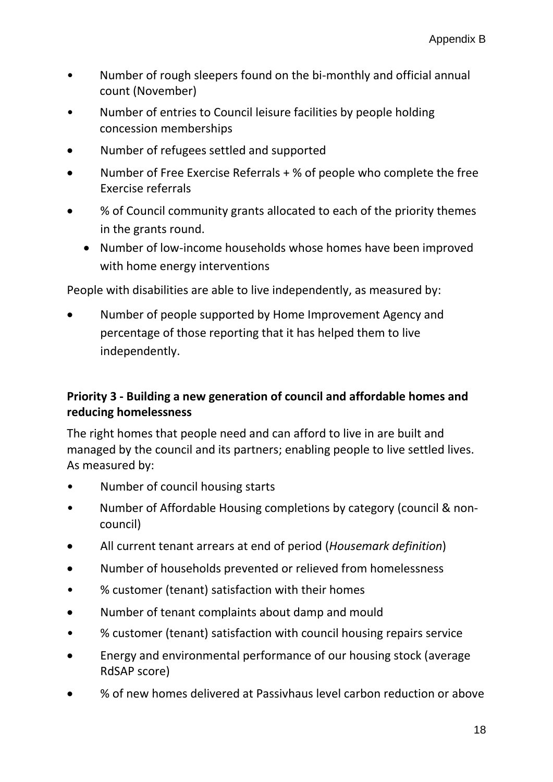- Number of rough sleepers found on the bi-monthly and official annual count (November)
- Number of entries to Council leisure facilities by people holding concession memberships
- Number of refugees settled and supported
- Number of Free Exercise Referrals + % of people who complete the free Exercise referrals
- % of Council community grants allocated to each of the priority themes in the grants round.
	- Number of low-income households whose homes have been improved with home energy interventions

People with disabilities are able to live independently, as measured by:

 Number of people supported by Home Improvement Agency and percentage of those reporting that it has helped them to live independently.

## **Priority 3 - Building a new generation of council and affordable homes and reducing homelessness**

The right homes that people need and can afford to live in are built and managed by the council and its partners; enabling people to live settled lives. As measured by:

- Number of council housing starts
- Number of Affordable Housing completions by category (council & noncouncil)
- All current tenant arrears at end of period (*Housemark definition*)
- Number of households prevented or relieved from homelessness
- % customer (tenant) satisfaction with their homes
- Number of tenant complaints about damp and mould
- % customer (tenant) satisfaction with council housing repairs service
- Energy and environmental performance of our housing stock (average RdSAP score)
- % of new homes delivered at Passivhaus level carbon reduction or above